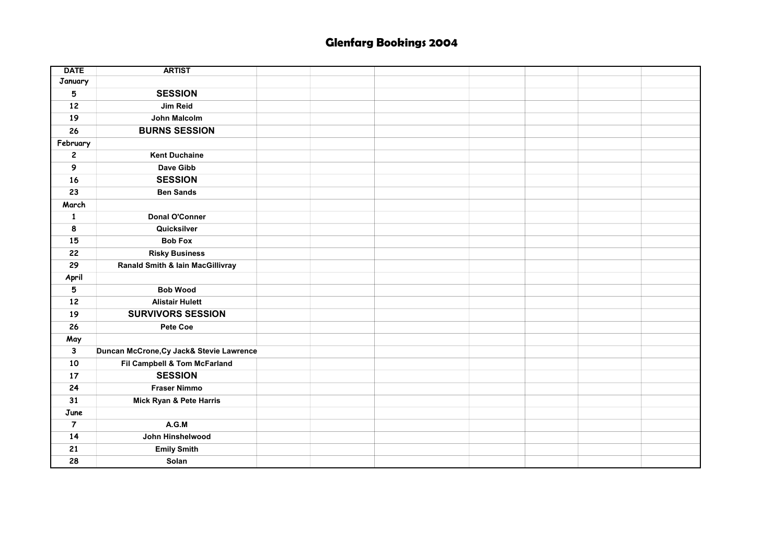## Glenfarg Bookings 2004

| <b>DATE</b>             | <b>ARTIST</b>                               |  |  |  |
|-------------------------|---------------------------------------------|--|--|--|
| January                 |                                             |  |  |  |
| 5                       | <b>SESSION</b>                              |  |  |  |
| 12                      | Jim Reid                                    |  |  |  |
| 19                      | <b>John Malcolm</b>                         |  |  |  |
| 26                      | <b>BURNS SESSION</b>                        |  |  |  |
| February                |                                             |  |  |  |
| $\overline{\mathbf{c}}$ | <b>Kent Duchaine</b>                        |  |  |  |
| 9                       | Dave Gibb                                   |  |  |  |
| 16                      | <b>SESSION</b>                              |  |  |  |
| 23                      | <b>Ben Sands</b>                            |  |  |  |
| March                   |                                             |  |  |  |
| $\mathbf{1}$            | Donal O'Conner                              |  |  |  |
| 8                       | Quicksilver                                 |  |  |  |
| 15                      | <b>Bob Fox</b>                              |  |  |  |
| 22                      | <b>Risky Business</b>                       |  |  |  |
| 29                      | <b>Ranald Smith &amp; lain MacGillivray</b> |  |  |  |
| April                   |                                             |  |  |  |
| 5                       | <b>Bob Wood</b>                             |  |  |  |
| 12                      | <b>Alistair Hulett</b>                      |  |  |  |
| 19                      | <b>SURVIVORS SESSION</b>                    |  |  |  |
| 26                      | Pete Coe                                    |  |  |  |
| May                     |                                             |  |  |  |
| $\mathbf{3}$            | Duncan McCrone, Cy Jack& Stevie Lawrence    |  |  |  |
| 10                      | Fil Campbell & Tom McFarland                |  |  |  |
| 17                      | <b>SESSION</b>                              |  |  |  |
| 24                      | <b>Fraser Nimmo</b>                         |  |  |  |
| 31                      | Mick Ryan & Pete Harris                     |  |  |  |
| June                    |                                             |  |  |  |
| $\overline{7}$          | A.G.M                                       |  |  |  |
| 14                      | John Hinshelwood                            |  |  |  |
| 21                      | <b>Emily Smith</b>                          |  |  |  |
| 28                      | Solan                                       |  |  |  |